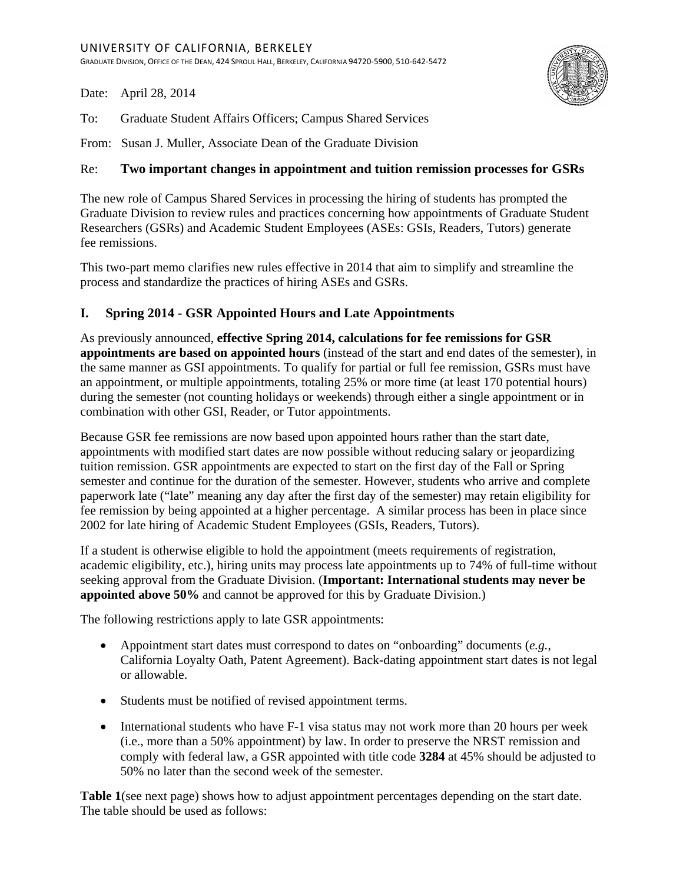Date: April 28, 2014

To: Graduate Student Affairs Officers; Campus Shared Services

From: Susan J. Muller, Associate Dean of the Graduate Division

## Re: **Two important changes in appointment and tuition remission processes for GSRs**

The new role of Campus Shared Services in processing the hiring of students has prompted the Graduate Division to review rules and practices concerning how appointments of Graduate Student Researchers (GSRs) and Academic Student Employees (ASEs: GSIs, Readers, Tutors) generate fee remissions.

This two-part memo clarifies new rules effective in 2014 that aim to simplify and streamline the process and standardize the practices of hiring ASEs and GSRs.

## **I. Spring 2014 - GSR Appointed Hours and Late Appointments**

As previously announced, **effective Spring 2014, calculations for fee remissions for GSR appointments are based on appointed hours** (instead of the start and end dates of the semester), in the same manner as GSI appointments. To qualify for partial or full fee remission, GSRs must have an appointment, or multiple appointments, totaling 25% or more time (at least 170 potential hours) during the semester (not counting holidays or weekends) through either a single appointment or in combination with other GSI, Reader, or Tutor appointments.

Because GSR fee remissions are now based upon appointed hours rather than the start date, appointments with modified start dates are now possible without reducing salary or jeopardizing tuition remission. GSR appointments are expected to start on the first day of the Fall or Spring semester and continue for the duration of the semester. However, students who arrive and complete paperwork late ("late" meaning any day after the first day of the semester) may retain eligibility for fee remission by being appointed at a higher percentage. A similar process has been in place since 2002 for late hiring of Academic Student Employees (GSIs, Readers, Tutors).

If a student is otherwise eligible to hold the appointment (meets requirements of registration, academic eligibility, etc.), hiring units may process late appointments up to 74% of full-time without seeking approval from the Graduate Division. (**Important: International students may never be appointed above 50%** and cannot be approved for this by Graduate Division.)

The following restrictions apply to late GSR appointments:

- Appointment start dates must correspond to dates on "onboarding" documents (*e.g.*, California Loyalty Oath, Patent Agreement). Back-dating appointment start dates is not legal or allowable.
- Students must be notified of revised appointment terms.
- International students who have F-1 visa status may not work more than 20 hours per week (i.e., more than a 50% appointment) by law. In order to preserve the NRST remission and comply with federal law, a GSR appointed with title code **3284** at 45% should be adjusted to 50% no later than the second week of the semester.

**Table 1**(see next page) shows how to adjust appointment percentages depending on the start date. The table should be used as follows: